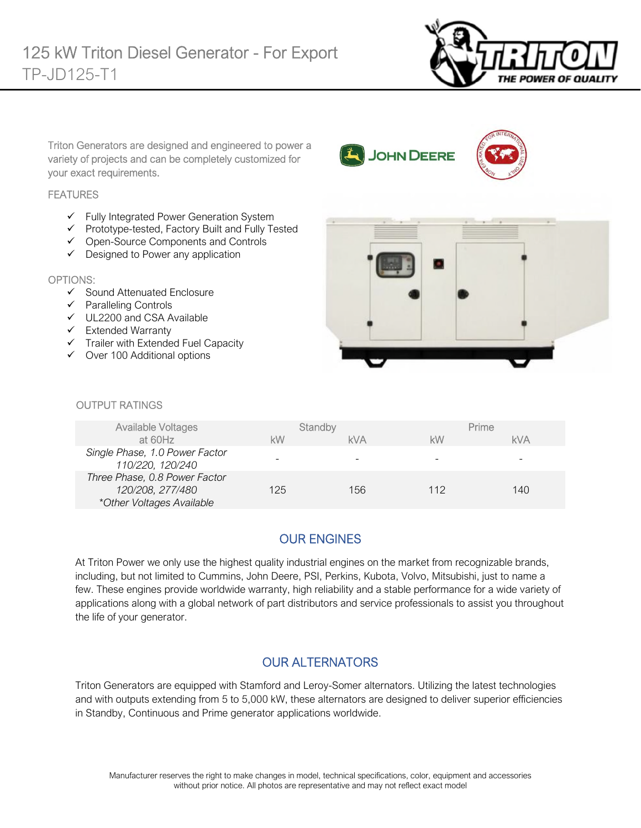

Triton Generators are designed and engineered to power a variety of projects and can be completely customized for your exact requirements.

#### **FEATURES**

- $\checkmark$  Fully Integrated Power Generation System
- $\checkmark$  Prototype-tested, Factory Built and Fully Tested
- Open-Source Components and Controls
- $\checkmark$  Designed to Power any application

#### OPTIONS:

- $\checkmark$  Sound Attenuated Enclosure
- $\checkmark$  Paralleling Controls
- UL2200 and CSA Available
- $\checkmark$  Extended Warranty
- $\checkmark$  Trailer with Extended Fuel Capacity
- $\checkmark$  Over 100 Additional options



**JOHN DEERE** 

#### *<u>OUTPUT RATINGS</u>*

| <b>Available Voltages</b>                                                      | Standby |            | Prime |     |
|--------------------------------------------------------------------------------|---------|------------|-------|-----|
| at 60Hz                                                                        | kW      | <b>kVA</b> | kW    | kVA |
| Single Phase, 1.0 Power Factor<br>110/220, 120/240                             |         |            |       |     |
| Three Phase, 0.8 Power Factor<br>120/208, 277/480<br>*Other Voltages Available | 125     | 156        | 112   | 140 |

### OUR ENGINES

At Triton Power we only use the highest quality industrial engines on the market from recognizable brands, including, but not limited to Cummins, John Deere, PSI, Perkins, Kubota, Volvo, Mitsubishi, just to name a few. These engines provide worldwide warranty, high reliability and a stable performance for a wide variety of applications along with a global network of part distributors and service professionals to assist you throughout the life of your generator.

### OUR ALTERNATORS

Triton Generators are equipped with Stamford and Leroy-Somer alternators. Utilizing the latest technologies and with outputs extending from 5 to 5,000 kW, these alternators are designed to deliver superior efficiencies in Standby, Continuous and Prime generator applications worldwide.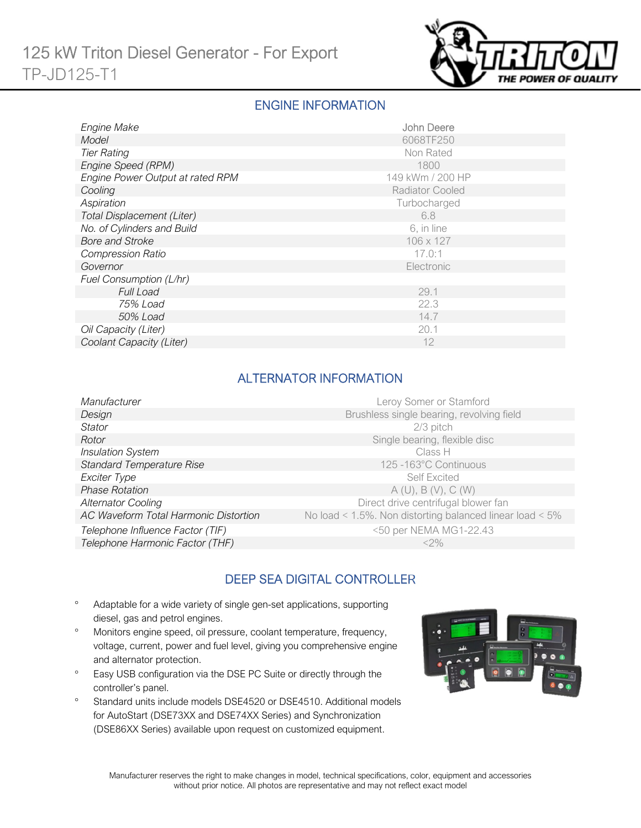

### ENGINE INFORMATION

| Engine Make                      | <b>John Deere</b>      |  |  |
|----------------------------------|------------------------|--|--|
| Model                            | 6068TF250              |  |  |
| <b>Tier Rating</b>               | Non Rated              |  |  |
| Engine Speed (RPM)               | 1800                   |  |  |
| Engine Power Output at rated RPM | 149 kWm / 200 HP       |  |  |
| Cooling                          | <b>Radiator Cooled</b> |  |  |
| Aspiration                       | Turbocharged           |  |  |
| Total Displacement (Liter)       | 6.8                    |  |  |
| No. of Cylinders and Build       | 6, in line             |  |  |
| <b>Bore and Stroke</b>           | 106 x 127              |  |  |
| <b>Compression Ratio</b>         | 17.0:1                 |  |  |
| Governor                         | Electronic             |  |  |
| Fuel Consumption (L/hr)          |                        |  |  |
| <b>Full Load</b>                 | 29.1                   |  |  |
| 75% Load                         | 22.3                   |  |  |
| 50% Load                         | 14.7                   |  |  |
| Oil Capacity (Liter)             | 20.1                   |  |  |
| Coolant Capacity (Liter)         | 12                     |  |  |

### ALTERNATOR INFORMATION

| Leroy Somer or Stamford                                  |
|----------------------------------------------------------|
| Brushless single bearing, revolving field                |
| $2/3$ pitch                                              |
| Single bearing, flexible disc                            |
| Class H                                                  |
| 125-163°C Continuous                                     |
| <b>Self Excited</b>                                      |
| A(U), B(V), C(W)                                         |
| Direct drive centrifugal blower fan                      |
| No load < 1.5%. Non distorting balanced linear load < 5% |
| <50 per NEMA MG1-22.43                                   |
| $<$ 2%                                                   |
|                                                          |

# DEEP SEA DIGITAL CONTROLLER

- Adaptable for a wide variety of single gen-set applications, supporting diesel, gas and petrol engines.
- Monitors engine speed, oil pressure, coolant temperature, frequency, voltage, current, power and fuel level, giving you comprehensive engine and alternator protection.
- <sup>o</sup> Easy USB configuration via the DSE PC Suite or directly through the controller's panel.
- <sup>o</sup> Standard units include models DSE4520 or DSE4510. Additional models for AutoStart (DSE73XX and DSE74XX Series) and Synchronization (DSE86XX Series) available upon request on customized equipment.

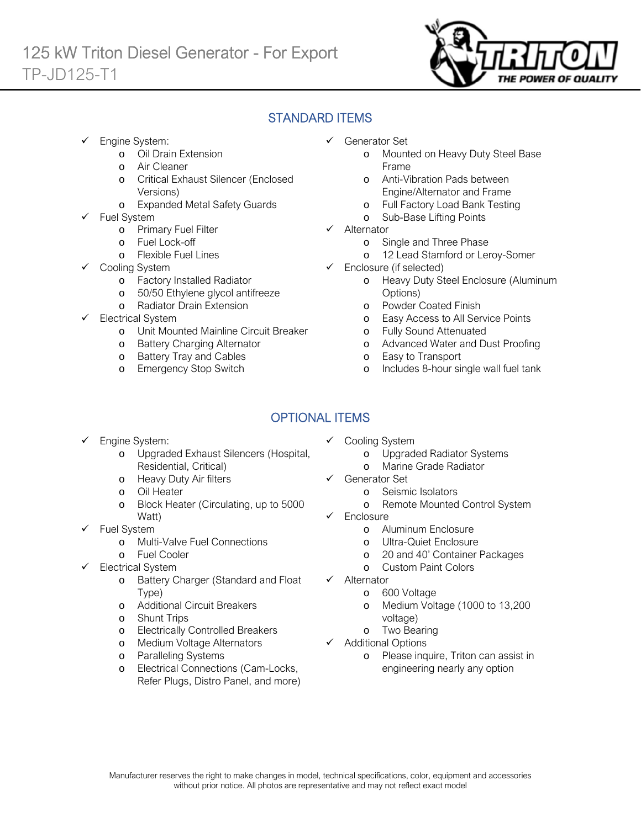

# STANDARD ITEMS

- Engine System:
	- o Oil Drain Extension
	- o Air Cleaner
	- o Critical Exhaust Silencer (Enclosed Versions)
	- o Expanded Metal Safety Guards
- Fuel System
	- o Primary Fuel Filter
	- o Fuel Lock-off
		- o Flexible Fuel Lines
	- Cooling System
		- o Factory Installed Radiator
		- o 50/50 Ethylene glycol antifreeze
		- o Radiator Drain Extension
- Electrical System
	- o Unit Mounted Mainline Circuit Breaker
	- o Battery Charging Alternator
	- o Battery Tray and Cables
	- o Emergency Stop Switch
- Generator Set
	- o Mounted on Heavy Duty Steel Base Frame
	- o Anti-Vibration Pads between Engine/Alternator and Frame
	- o Full Factory Load Bank Testing
	- o Sub-Base Lifting Points
- $\checkmark$  Alternator
	- o Single and Three Phase
	- o 12 Lead Stamford or Leroy-Somer
- $\checkmark$  Enclosure (if selected)
	- o Heavy Duty Steel Enclosure (Aluminum Options)
	- o Powder Coated Finish
	- o Easy Access to All Service Points
	- o Fully Sound Attenuated
	- o Advanced Water and Dust Proofing
	- o Easy to Transport
	- o Includes 8-hour single wall fuel tank

# OPTIONAL ITEMS

- Engine System:
	- o Upgraded Exhaust Silencers (Hospital, Residential, Critical)
	- o Heavy Duty Air filters
	- o Oil Heater
	- o Block Heater (Circulating, up to 5000 Watt)
- $\checkmark$  Fuel System
	- o Multi-Valve Fuel Connections
	- o Fuel Cooler
- Electrical System
	- o Battery Charger (Standard and Float Type)
	- o Additional Circuit Breakers
	- o Shunt Trips
	- o Electrically Controlled Breakers
	- o Medium Voltage Alternators
	- o Paralleling Systems
	- o Electrical Connections (Cam-Locks, Refer Plugs, Distro Panel, and more)
- $\checkmark$  Cooling System
	- o Upgraded Radiator Systems
	- o Marine Grade Radiator
- Generator Set
	- o Seismic Isolators
	- o Remote Mounted Control System
- Enclosure
	- o Aluminum Enclosure
	- o Ultra-Quiet Enclosure
	- o 20 and 40' Container Packages
	- o Custom Paint Colors
- $\checkmark$  Alternator
	- o 600 Voltage
	- o Medium Voltage (1000 to 13,200 voltage)
	- o Two Bearing
- $\checkmark$  Additional Options
	- o Please inquire, Triton can assist in engineering nearly any option